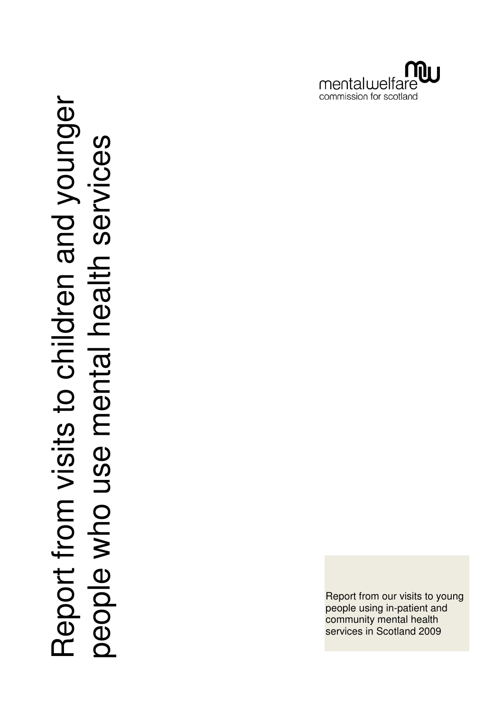

Report from visits to children and younger<br>people who use mental health services Report from visits to children and younger<br>people who use mental health services

Report from our visits to young people using in-patient and community mental health services in Scotland 2009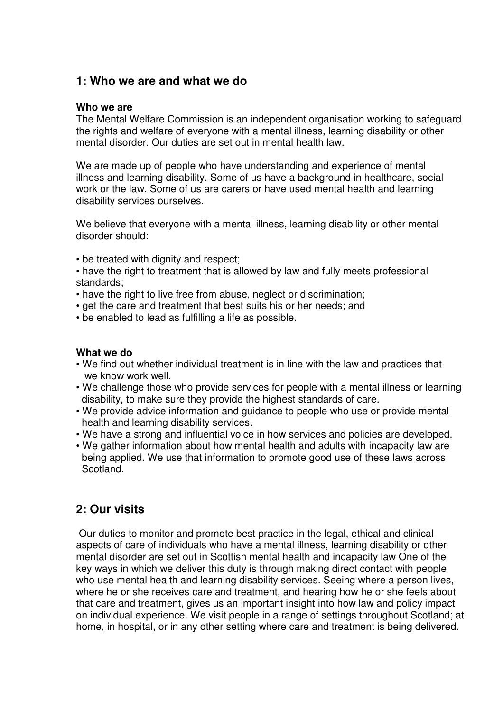# **1: Who we are and what we do**

#### **Who we are**

The Mental Welfare Commission is an independent organisation working to safeguard the rights and welfare of everyone with a mental illness, learning disability or other mental disorder. Our duties are set out in mental health law.

We are made up of people who have understanding and experience of mental illness and learning disability. Some of us have a background in healthcare, social work or the law. Some of us are carers or have used mental health and learning disability services ourselves.

We believe that everyone with a mental illness, learning disability or other mental disorder should:

- be treated with dignity and respect;
- have the right to treatment that is allowed by law and fully meets professional standards;
- have the right to live free from abuse, neglect or discrimination;
- get the care and treatment that best suits his or her needs; and
- be enabled to lead as fulfilling a life as possible.

### **What we do**

- We find out whether individual treatment is in line with the law and practices that we know work well.
- We challenge those who provide services for people with a mental illness or learning disability, to make sure they provide the highest standards of care.
- We provide advice information and guidance to people who use or provide mental health and learning disability services.
- We have a strong and influential voice in how services and policies are developed.
- We gather information about how mental health and adults with incapacity law are being applied. We use that information to promote good use of these laws across Scotland.

# **2: Our visits**

 Our duties to monitor and promote best practice in the legal, ethical and clinical aspects of care of individuals who have a mental illness, learning disability or other mental disorder are set out in Scottish mental health and incapacity law One of the key ways in which we deliver this duty is through making direct contact with people who use mental health and learning disability services. Seeing where a person lives, where he or she receives care and treatment, and hearing how he or she feels about that care and treatment, gives us an important insight into how law and policy impact on individual experience. We visit people in a range of settings throughout Scotland; at home, in hospital, or in any other setting where care and treatment is being delivered.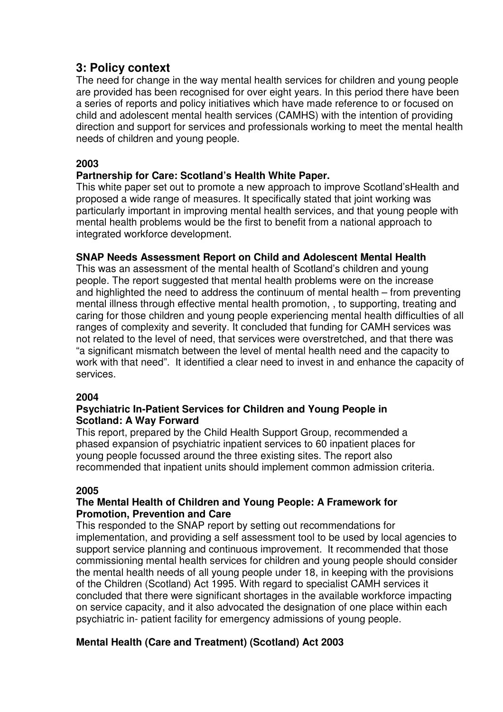# **3: Policy context**

The need for change in the way mental health services for children and young people are provided has been recognised for over eight years. In this period there have been a series of reports and policy initiatives which have made reference to or focused on child and adolescent mental health services (CAMHS) with the intention of providing direction and support for services and professionals working to meet the mental health needs of children and young people.

# **2003**

# **Partnership for Care: Scotland's Health White Paper.**

This white paper set out to promote a new approach to improve Scotland'sHealth and proposed a wide range of measures. It specifically stated that joint working was particularly important in improving mental health services, and that young people with mental health problems would be the first to benefit from a national approach to integrated workforce development.

# **SNAP Needs Assessment Report on Child and Adolescent Mental Health**

This was an assessment of the mental health of Scotland's children and young people. The report suggested that mental health problems were on the increase and highlighted the need to address the continuum of mental health – from preventing mental illness through effective mental health promotion, , to supporting, treating and caring for those children and young people experiencing mental health difficulties of all ranges of complexity and severity. It concluded that funding for CAMH services was not related to the level of need, that services were overstretched, and that there was "a significant mismatch between the level of mental health need and the capacity to work with that need". It identified a clear need to invest in and enhance the capacity of services.

# **2004**

### **Psychiatric In-Patient Services for Children and Young People in Scotland: A Way Forward**

This report, prepared by the Child Health Support Group, recommended a phased expansion of psychiatric inpatient services to 60 inpatient places for young people focussed around the three existing sites. The report also recommended that inpatient units should implement common admission criteria.

# **2005**

# **The Mental Health of Children and Young People: A Framework for Promotion, Prevention and Care**

This responded to the SNAP report by setting out recommendations for implementation, and providing a self assessment tool to be used by local agencies to support service planning and continuous improvement. It recommended that those commissioning mental health services for children and young people should consider the mental health needs of all young people under 18, in keeping with the provisions of the Children (Scotland) Act 1995. With regard to specialist CAMH services it concluded that there were significant shortages in the available workforce impacting on service capacity, and it also advocated the designation of one place within each psychiatric in- patient facility for emergency admissions of young people.

# **Mental Health (Care and Treatment) (Scotland) Act 2003**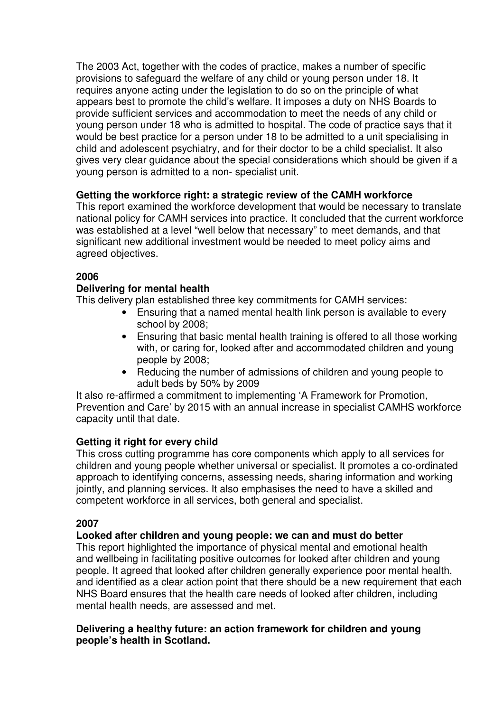The 2003 Act, together with the codes of practice, makes a number of specific provisions to safeguard the welfare of any child or young person under 18. It requires anyone acting under the legislation to do so on the principle of what appears best to promote the child's welfare. It imposes a duty on NHS Boards to provide sufficient services and accommodation to meet the needs of any child or young person under 18 who is admitted to hospital. The code of practice says that it would be best practice for a person under 18 to be admitted to a unit specialising in child and adolescent psychiatry, and for their doctor to be a child specialist. It also gives very clear guidance about the special considerations which should be given if a young person is admitted to a non- specialist unit.

### **Getting the workforce right: a strategic review of the CAMH workforce**

This report examined the workforce development that would be necessary to translate national policy for CAMH services into practice. It concluded that the current workforce was established at a level "well below that necessary" to meet demands, and that significant new additional investment would be needed to meet policy aims and agreed objectives.

### **2006**

### **Delivering for mental health**

This delivery plan established three key commitments for CAMH services:

- Ensuring that a named mental health link person is available to every school by 2008;
- Ensuring that basic mental health training is offered to all those working with, or caring for, looked after and accommodated children and young people by 2008;
- Reducing the number of admissions of children and young people to adult beds by 50% by 2009

It also re-affirmed a commitment to implementing 'A Framework for Promotion, Prevention and Care' by 2015 with an annual increase in specialist CAMHS workforce capacity until that date.

# **Getting it right for every child**

This cross cutting programme has core components which apply to all services for children and young people whether universal or specialist. It promotes a co-ordinated approach to identifying concerns, assessing needs, sharing information and working jointly, and planning services. It also emphasises the need to have a skilled and competent workforce in all services, both general and specialist.

### **2007**

# **Looked after children and young people: we can and must do better**

This report highlighted the importance of physical mental and emotional health and wellbeing in facilitating positive outcomes for looked after children and young people. It agreed that looked after children generally experience poor mental health, and identified as a clear action point that there should be a new requirement that each NHS Board ensures that the health care needs of looked after children, including mental health needs, are assessed and met.

### **Delivering a healthy future: an action framework for children and young people's health in Scotland.**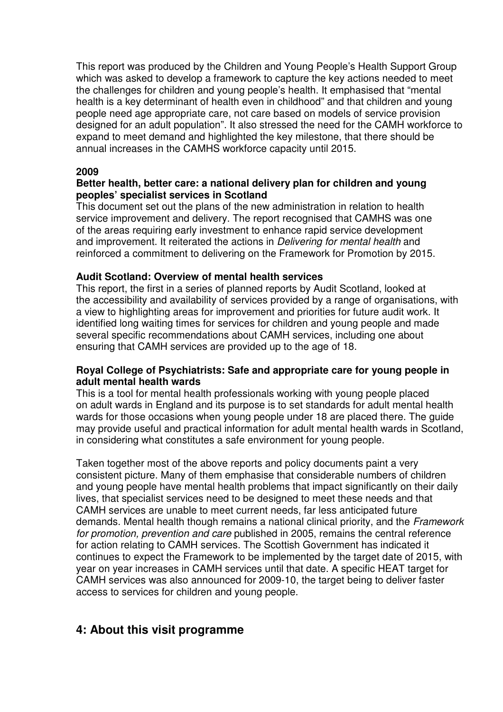This report was produced by the Children and Young People's Health Support Group which was asked to develop a framework to capture the key actions needed to meet the challenges for children and young people's health. It emphasised that "mental health is a key determinant of health even in childhood" and that children and young people need age appropriate care, not care based on models of service provision designed for an adult population". It also stressed the need for the CAMH workforce to expand to meet demand and highlighted the key milestone, that there should be annual increases in the CAMHS workforce capacity until 2015.

### **2009**

### **Better health, better care: a national delivery plan for children and young peoples' specialist services in Scotland**

This document set out the plans of the new administration in relation to health service improvement and delivery. The report recognised that CAMHS was one of the areas requiring early investment to enhance rapid service development and improvement. It reiterated the actions in Delivering for mental health and reinforced a commitment to delivering on the Framework for Promotion by 2015.

### **Audit Scotland: Overview of mental health services**

This report, the first in a series of planned reports by Audit Scotland, looked at the accessibility and availability of services provided by a range of organisations, with a view to highlighting areas for improvement and priorities for future audit work. It identified long waiting times for services for children and young people and made several specific recommendations about CAMH services, including one about ensuring that CAMH services are provided up to the age of 18.

### **Royal College of Psychiatrists: Safe and appropriate care for young people in adult mental health wards**

This is a tool for mental health professionals working with young people placed on adult wards in England and its purpose is to set standards for adult mental health wards for those occasions when young people under 18 are placed there. The guide may provide useful and practical information for adult mental health wards in Scotland, in considering what constitutes a safe environment for young people.

Taken together most of the above reports and policy documents paint a very consistent picture. Many of them emphasise that considerable numbers of children and young people have mental health problems that impact significantly on their daily lives, that specialist services need to be designed to meet these needs and that CAMH services are unable to meet current needs, far less anticipated future demands. Mental health though remains a national clinical priority, and the Framework for promotion, prevention and care published in 2005, remains the central reference for action relating to CAMH services. The Scottish Government has indicated it continues to expect the Framework to be implemented by the target date of 2015, with year on year increases in CAMH services until that date. A specific HEAT target for CAMH services was also announced for 2009-10, the target being to deliver faster access to services for children and young people.

# **4: About this visit programme**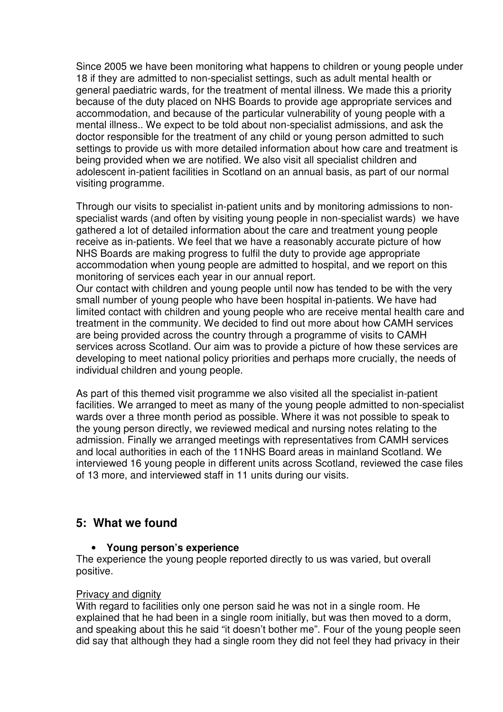Since 2005 we have been monitoring what happens to children or young people under 18 if they are admitted to non-specialist settings, such as adult mental health or general paediatric wards, for the treatment of mental illness. We made this a priority because of the duty placed on NHS Boards to provide age appropriate services and accommodation, and because of the particular vulnerability of young people with a mental illness.. We expect to be told about non-specialist admissions, and ask the doctor responsible for the treatment of any child or young person admitted to such settings to provide us with more detailed information about how care and treatment is being provided when we are notified. We also visit all specialist children and adolescent in-patient facilities in Scotland on an annual basis, as part of our normal visiting programme.

Through our visits to specialist in-patient units and by monitoring admissions to nonspecialist wards (and often by visiting young people in non-specialist wards) we have gathered a lot of detailed information about the care and treatment young people receive as in-patients. We feel that we have a reasonably accurate picture of how NHS Boards are making progress to fulfil the duty to provide age appropriate accommodation when young people are admitted to hospital, and we report on this monitoring of services each year in our annual report.

Our contact with children and young people until now has tended to be with the very small number of young people who have been hospital in-patients. We have had limited contact with children and young people who are receive mental health care and treatment in the community. We decided to find out more about how CAMH services are being provided across the country through a programme of visits to CAMH services across Scotland. Our aim was to provide a picture of how these services are developing to meet national policy priorities and perhaps more crucially, the needs of individual children and young people.

As part of this themed visit programme we also visited all the specialist in-patient facilities. We arranged to meet as many of the young people admitted to non-specialist wards over a three month period as possible. Where it was not possible to speak to the young person directly, we reviewed medical and nursing notes relating to the admission. Finally we arranged meetings with representatives from CAMH services and local authorities in each of the 11NHS Board areas in mainland Scotland. We interviewed 16 young people in different units across Scotland, reviewed the case files of 13 more, and interviewed staff in 11 units during our visits.

# **5: What we found**

# • **Young person's experience**

The experience the young people reported directly to us was varied, but overall positive.

### Privacy and dignity

With regard to facilities only one person said he was not in a single room. He explained that he had been in a single room initially, but was then moved to a dorm, and speaking about this he said "it doesn't bother me". Four of the young people seen did say that although they had a single room they did not feel they had privacy in their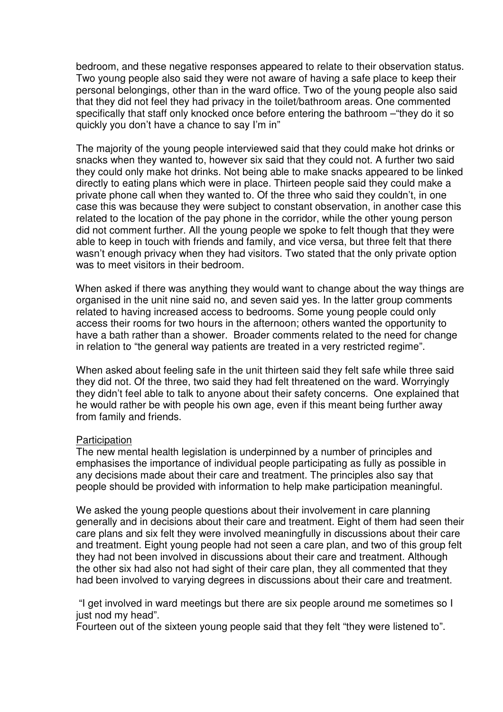bedroom, and these negative responses appeared to relate to their observation status. Two young people also said they were not aware of having a safe place to keep their personal belongings, other than in the ward office. Two of the young people also said that they did not feel they had privacy in the toilet/bathroom areas. One commented specifically that staff only knocked once before entering the bathroom –"they do it so quickly you don't have a chance to say I'm in"

The majority of the young people interviewed said that they could make hot drinks or snacks when they wanted to, however six said that they could not. A further two said they could only make hot drinks. Not being able to make snacks appeared to be linked directly to eating plans which were in place. Thirteen people said they could make a private phone call when they wanted to. Of the three who said they couldn't, in one case this was because they were subject to constant observation, in another case this related to the location of the pay phone in the corridor, while the other young person did not comment further. All the young people we spoke to felt though that they were able to keep in touch with friends and family, and vice versa, but three felt that there wasn't enough privacy when they had visitors. Two stated that the only private option was to meet visitors in their bedroom.

 When asked if there was anything they would want to change about the way things are organised in the unit nine said no, and seven said yes. In the latter group comments related to having increased access to bedrooms. Some young people could only access their rooms for two hours in the afternoon; others wanted the opportunity to have a bath rather than a shower. Broader comments related to the need for change in relation to "the general way patients are treated in a very restricted regime".

When asked about feeling safe in the unit thirteen said they felt safe while three said they did not. Of the three, two said they had felt threatened on the ward. Worryingly they didn't feel able to talk to anyone about their safety concerns. One explained that he would rather be with people his own age, even if this meant being further away from family and friends.

#### **Participation**

The new mental health legislation is underpinned by a number of principles and emphasises the importance of individual people participating as fully as possible in any decisions made about their care and treatment. The principles also say that people should be provided with information to help make participation meaningful.

We asked the young people questions about their involvement in care planning generally and in decisions about their care and treatment. Eight of them had seen their care plans and six felt they were involved meaningfully in discussions about their care and treatment. Eight young people had not seen a care plan, and two of this group felt they had not been involved in discussions about their care and treatment. Although the other six had also not had sight of their care plan, they all commented that they had been involved to varying degrees in discussions about their care and treatment.

 "I get involved in ward meetings but there are six people around me sometimes so I just nod my head".

Fourteen out of the sixteen young people said that they felt "they were listened to".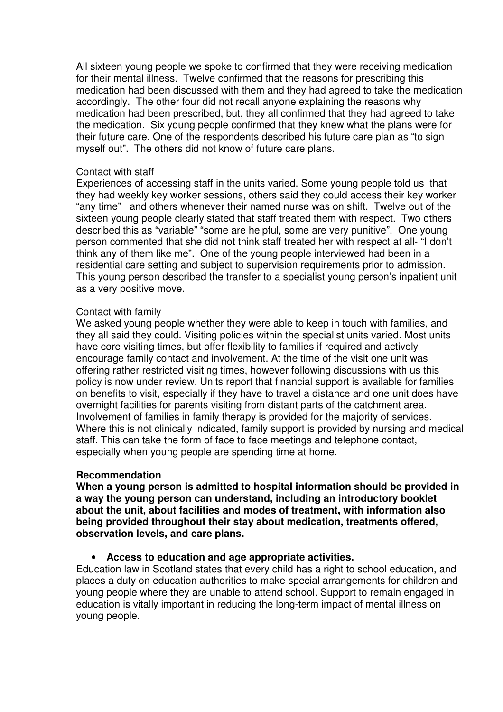All sixteen young people we spoke to confirmed that they were receiving medication for their mental illness. Twelve confirmed that the reasons for prescribing this medication had been discussed with them and they had agreed to take the medication accordingly. The other four did not recall anyone explaining the reasons why medication had been prescribed, but, they all confirmed that they had agreed to take the medication. Six young people confirmed that they knew what the plans were for their future care. One of the respondents described his future care plan as "to sign myself out". The others did not know of future care plans.

### Contact with staff

Experiences of accessing staff in the units varied. Some young people told us that they had weekly key worker sessions, others said they could access their key worker "any time" and others whenever their named nurse was on shift. Twelve out of the sixteen young people clearly stated that staff treated them with respect. Two others described this as "variable" "some are helpful, some are very punitive". One young person commented that she did not think staff treated her with respect at all- "I don't think any of them like me". One of the young people interviewed had been in a residential care setting and subject to supervision requirements prior to admission. This young person described the transfer to a specialist young person's inpatient unit as a very positive move.

### Contact with family

We asked young people whether they were able to keep in touch with families, and they all said they could. Visiting policies within the specialist units varied. Most units have core visiting times, but offer flexibility to families if required and actively encourage family contact and involvement. At the time of the visit one unit was offering rather restricted visiting times, however following discussions with us this policy is now under review. Units report that financial support is available for families on benefits to visit, especially if they have to travel a distance and one unit does have overnight facilities for parents visiting from distant parts of the catchment area. Involvement of families in family therapy is provided for the majority of services. Where this is not clinically indicated, family support is provided by nursing and medical staff. This can take the form of face to face meetings and telephone contact, especially when young people are spending time at home.

#### **Recommendation**

**When a young person is admitted to hospital information should be provided in a way the young person can understand, including an introductory booklet about the unit, about facilities and modes of treatment, with information also being provided throughout their stay about medication, treatments offered, observation levels, and care plans.** 

### • **Access to education and age appropriate activities.**

Education law in Scotland states that every child has a right to school education, and places a duty on education authorities to make special arrangements for children and young people where they are unable to attend school. Support to remain engaged in education is vitally important in reducing the long-term impact of mental illness on young people.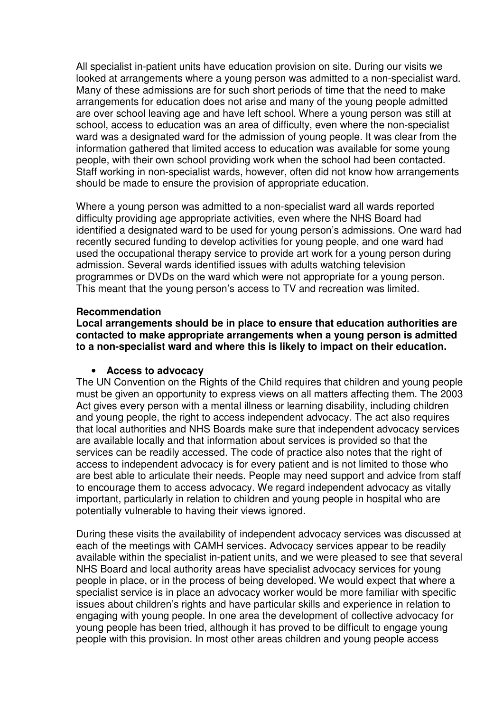All specialist in-patient units have education provision on site. During our visits we looked at arrangements where a young person was admitted to a non-specialist ward. Many of these admissions are for such short periods of time that the need to make arrangements for education does not arise and many of the young people admitted are over school leaving age and have left school. Where a young person was still at school, access to education was an area of difficulty, even where the non-specialist ward was a designated ward for the admission of young people. It was clear from the information gathered that limited access to education was available for some young people, with their own school providing work when the school had been contacted. Staff working in non-specialist wards, however, often did not know how arrangements should be made to ensure the provision of appropriate education.

Where a young person was admitted to a non-specialist ward all wards reported difficulty providing age appropriate activities, even where the NHS Board had identified a designated ward to be used for young person's admissions. One ward had recently secured funding to develop activities for young people, and one ward had used the occupational therapy service to provide art work for a young person during admission. Several wards identified issues with adults watching television programmes or DVDs on the ward which were not appropriate for a young person. This meant that the young person's access to TV and recreation was limited.

#### **Recommendation**

**Local arrangements should be in place to ensure that education authorities are contacted to make appropriate arrangements when a young person is admitted to a non-specialist ward and where this is likely to impact on their education.** 

#### • **Access to advocacy**

The UN Convention on the Rights of the Child requires that children and young people must be given an opportunity to express views on all matters affecting them. The 2003 Act gives every person with a mental illness or learning disability, including children and young people, the right to access independent advocacy. The act also requires that local authorities and NHS Boards make sure that independent advocacy services are available locally and that information about services is provided so that the services can be readily accessed. The code of practice also notes that the right of access to independent advocacy is for every patient and is not limited to those who are best able to articulate their needs. People may need support and advice from staff to encourage them to access advocacy. We regard independent advocacy as vitally important, particularly in relation to children and young people in hospital who are potentially vulnerable to having their views ignored.

During these visits the availability of independent advocacy services was discussed at each of the meetings with CAMH services. Advocacy services appear to be readily available within the specialist in-patient units, and we were pleased to see that several NHS Board and local authority areas have specialist advocacy services for young people in place, or in the process of being developed. We would expect that where a specialist service is in place an advocacy worker would be more familiar with specific issues about children's rights and have particular skills and experience in relation to engaging with young people. In one area the development of collective advocacy for young people has been tried, although it has proved to be difficult to engage young people with this provision. In most other areas children and young people access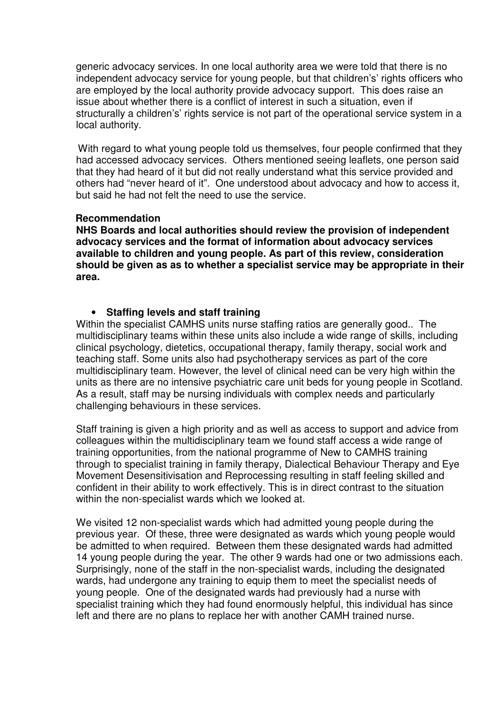generic advocacy services. In one local authority area we were told that there is no independent advocacy service for young people, but that children's' rights officers who are employed by the local authority provide advocacy support. This does raise an issue about whether there is a conflict of interest in such a situation, even if structurally a children's' rights service is not part of the operational service system in a local authority.

 With regard to what young people told us themselves, four people confirmed that they had accessed advocacy services. Others mentioned seeing leaflets, one person said that they had heard of it but did not really understand what this service provided and others had "never heard of it". One understood about advocacy and how to access it, but said he had not felt the need to use the service.

### **Recommendation**

 **NHS Boards and local authorities should review the provision of independent advocacy services and the format of information about advocacy services available to children and young people. As part of this review, consideration should be given as as to whether a specialist service may be appropriate in their area.** 

### • **Staffing levels and staff training**

Within the specialist CAMHS units nurse staffing ratios are generally good.. The multidisciplinary teams within these units also include a wide range of skills, including clinical psychology, dietetics, occupational therapy, family therapy, social work and teaching staff. Some units also had psychotherapy services as part of the core multidisciplinary team. However, the level of clinical need can be very high within the units as there are no intensive psychiatric care unit beds for young people in Scotland. As a result, staff may be nursing individuals with complex needs and particularly challenging behaviours in these services.

Staff training is given a high priority and as well as access to support and advice from colleagues within the multidisciplinary team we found staff access a wide range of training opportunities, from the national programme of New to CAMHS training through to specialist training in family therapy, Dialectical Behaviour Therapy and Eye Movement Desensitivisation and Reprocessing resulting in staff feeling skilled and confident in their ability to work effectively. This is in direct contrast to the situation within the non-specialist wards which we looked at.

We visited 12 non-specialist wards which had admitted young people during the previous year. Of these, three were designated as wards which young people would be admitted to when required. Between them these designated wards had admitted 14 young people during the year. The other 9 wards had one or two admissions each. Surprisingly, none of the staff in the non-specialist wards, including the designated wards, had undergone any training to equip them to meet the specialist needs of young people. One of the designated wards had previously had a nurse with specialist training which they had found enormously helpful, this individual has since left and there are no plans to replace her with another CAMH trained nurse.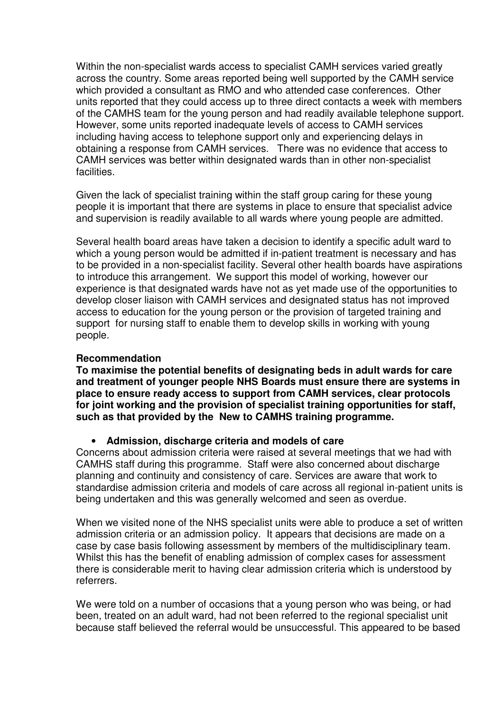Within the non-specialist wards access to specialist CAMH services varied greatly across the country. Some areas reported being well supported by the CAMH service which provided a consultant as RMO and who attended case conferences. Other units reported that they could access up to three direct contacts a week with members of the CAMHS team for the young person and had readily available telephone support. However, some units reported inadequate levels of access to CAMH services including having access to telephone support only and experiencing delays in obtaining a response from CAMH services. There was no evidence that access to CAMH services was better within designated wards than in other non-specialist facilities.

Given the lack of specialist training within the staff group caring for these young people it is important that there are systems in place to ensure that specialist advice and supervision is readily available to all wards where young people are admitted.

Several health board areas have taken a decision to identify a specific adult ward to which a young person would be admitted if in-patient treatment is necessary and has to be provided in a non-specialist facility. Several other health boards have aspirations to introduce this arrangement. We support this model of working, however our experience is that designated wards have not as yet made use of the opportunities to develop closer liaison with CAMH services and designated status has not improved access to education for the young person or the provision of targeted training and support for nursing staff to enable them to develop skills in working with young people.

### **Recommendation**

**To maximise the potential benefits of designating beds in adult wards for care and treatment of younger people NHS Boards must ensure there are systems in place to ensure ready access to support from CAMH services, clear protocols for joint working and the provision of specialist training opportunities for staff, such as that provided by the New to CAMHS training programme.** 

### • **Admission, discharge criteria and models of care**

Concerns about admission criteria were raised at several meetings that we had with CAMHS staff during this programme. Staff were also concerned about discharge planning and continuity and consistency of care. Services are aware that work to standardise admission criteria and models of care across all regional in-patient units is being undertaken and this was generally welcomed and seen as overdue.

When we visited none of the NHS specialist units were able to produce a set of written admission criteria or an admission policy. It appears that decisions are made on a case by case basis following assessment by members of the multidisciplinary team. Whilst this has the benefit of enabling admission of complex cases for assessment there is considerable merit to having clear admission criteria which is understood by referrers.

We were told on a number of occasions that a young person who was being, or had been, treated on an adult ward, had not been referred to the regional specialist unit because staff believed the referral would be unsuccessful. This appeared to be based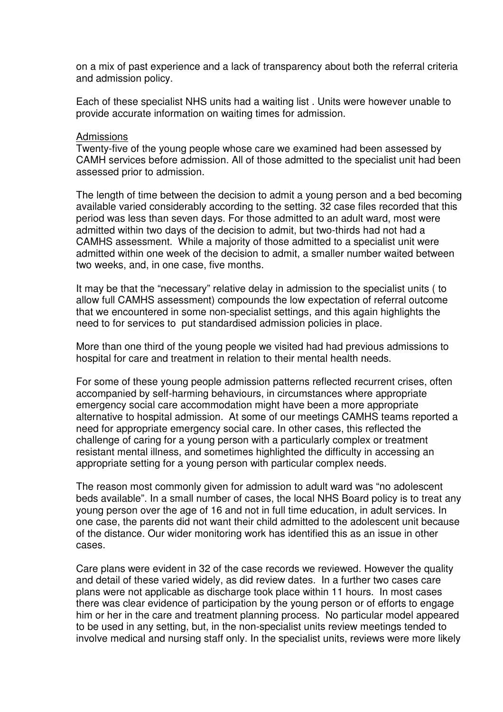on a mix of past experience and a lack of transparency about both the referral criteria and admission policy.

Each of these specialist NHS units had a waiting list . Units were however unable to provide accurate information on waiting times for admission.

#### Admissions

Twenty-five of the young people whose care we examined had been assessed by CAMH services before admission. All of those admitted to the specialist unit had been assessed prior to admission.

The length of time between the decision to admit a young person and a bed becoming available varied considerably according to the setting. 32 case files recorded that this period was less than seven days. For those admitted to an adult ward, most were admitted within two days of the decision to admit, but two-thirds had not had a CAMHS assessment. While a majority of those admitted to a specialist unit were admitted within one week of the decision to admit, a smaller number waited between two weeks, and, in one case, five months.

It may be that the "necessary" relative delay in admission to the specialist units ( to allow full CAMHS assessment) compounds the low expectation of referral outcome that we encountered in some non-specialist settings, and this again highlights the need to for services to put standardised admission policies in place.

More than one third of the young people we visited had had previous admissions to hospital for care and treatment in relation to their mental health needs.

For some of these young people admission patterns reflected recurrent crises, often accompanied by self-harming behaviours, in circumstances where appropriate emergency social care accommodation might have been a more appropriate alternative to hospital admission. At some of our meetings CAMHS teams reported a need for appropriate emergency social care. In other cases, this reflected the challenge of caring for a young person with a particularly complex or treatment resistant mental illness, and sometimes highlighted the difficulty in accessing an appropriate setting for a young person with particular complex needs.

The reason most commonly given for admission to adult ward was "no adolescent beds available". In a small number of cases, the local NHS Board policy is to treat any young person over the age of 16 and not in full time education, in adult services. In one case, the parents did not want their child admitted to the adolescent unit because of the distance. Our wider monitoring work has identified this as an issue in other cases.

Care plans were evident in 32 of the case records we reviewed. However the quality and detail of these varied widely, as did review dates. In a further two cases care plans were not applicable as discharge took place within 11 hours. In most cases there was clear evidence of participation by the young person or of efforts to engage him or her in the care and treatment planning process. No particular model appeared to be used in any setting, but, in the non-specialist units review meetings tended to involve medical and nursing staff only. In the specialist units, reviews were more likely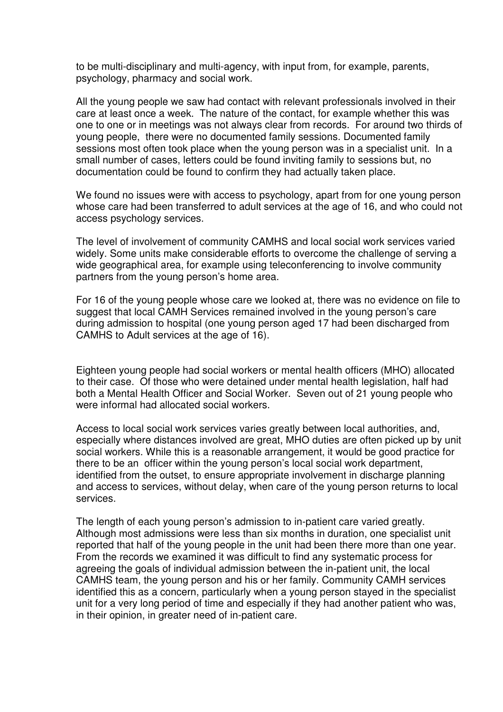to be multi-disciplinary and multi-agency, with input from, for example, parents, psychology, pharmacy and social work.

All the young people we saw had contact with relevant professionals involved in their care at least once a week. The nature of the contact, for example whether this was one to one or in meetings was not always clear from records. For around two thirds of young people, there were no documented family sessions. Documented family sessions most often took place when the young person was in a specialist unit. In a small number of cases, letters could be found inviting family to sessions but, no documentation could be found to confirm they had actually taken place.

We found no issues were with access to psychology, apart from for one young person whose care had been transferred to adult services at the age of 16, and who could not access psychology services.

The level of involvement of community CAMHS and local social work services varied widely. Some units make considerable efforts to overcome the challenge of serving a wide geographical area, for example using teleconferencing to involve community partners from the young person's home area.

For 16 of the young people whose care we looked at, there was no evidence on file to suggest that local CAMH Services remained involved in the young person's care during admission to hospital (one young person aged 17 had been discharged from CAMHS to Adult services at the age of 16).

Eighteen young people had social workers or mental health officers (MHO) allocated to their case. Of those who were detained under mental health legislation, half had both a Mental Health Officer and Social Worker. Seven out of 21 young people who were informal had allocated social workers.

Access to local social work services varies greatly between local authorities, and, especially where distances involved are great, MHO duties are often picked up by unit social workers. While this is a reasonable arrangement, it would be good practice for there to be an officer within the young person's local social work department, identified from the outset, to ensure appropriate involvement in discharge planning and access to services, without delay, when care of the young person returns to local services.

The length of each young person's admission to in-patient care varied greatly. Although most admissions were less than six months in duration, one specialist unit reported that half of the young people in the unit had been there more than one year. From the records we examined it was difficult to find any systematic process for agreeing the goals of individual admission between the in-patient unit, the local CAMHS team, the young person and his or her family. Community CAMH services identified this as a concern, particularly when a young person stayed in the specialist unit for a very long period of time and especially if they had another patient who was, in their opinion, in greater need of in-patient care.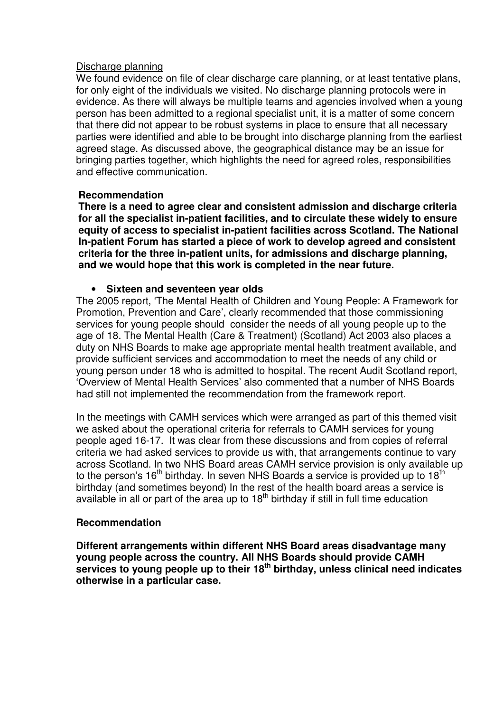### Discharge planning

We found evidence on file of clear discharge care planning, or at least tentative plans, for only eight of the individuals we visited. No discharge planning protocols were in evidence. As there will always be multiple teams and agencies involved when a young person has been admitted to a regional specialist unit, it is a matter of some concern that there did not appear to be robust systems in place to ensure that all necessary parties were identified and able to be brought into discharge planning from the earliest agreed stage. As discussed above, the geographical distance may be an issue for bringing parties together, which highlights the need for agreed roles, responsibilities and effective communication.

#### **Recommendation**

**There is a need to agree clear and consistent admission and discharge criteria for all the specialist in-patient facilities, and to circulate these widely to ensure equity of access to specialist in-patient facilities across Scotland. The National In-patient Forum has started a piece of work to develop agreed and consistent criteria for the three in-patient units, for admissions and discharge planning, and we would hope that this work is completed in the near future.**

#### • **Sixteen and seventeen year olds**

The 2005 report, 'The Mental Health of Children and Young People: A Framework for Promotion, Prevention and Care', clearly recommended that those commissioning services for young people should consider the needs of all young people up to the age of 18. The Mental Health (Care & Treatment) (Scotland) Act 2003 also places a duty on NHS Boards to make age appropriate mental health treatment available, and provide sufficient services and accommodation to meet the needs of any child or young person under 18 who is admitted to hospital. The recent Audit Scotland report, 'Overview of Mental Health Services' also commented that a number of NHS Boards had still not implemented the recommendation from the framework report.

In the meetings with CAMH services which were arranged as part of this themed visit we asked about the operational criteria for referrals to CAMH services for young people aged 16-17. It was clear from these discussions and from copies of referral criteria we had asked services to provide us with, that arrangements continue to vary across Scotland. In two NHS Board areas CAMH service provision is only available up to the person's  $16<sup>th</sup>$  birthday. In seven NHS Boards a service is provided up to  $18<sup>th</sup>$ birthday (and sometimes beyond) In the rest of the health board areas a service is available in all or part of the area up to  $18<sup>th</sup>$  birthday if still in full time education

### **Recommendation**

**Different arrangements within different NHS Board areas disadvantage many young people across the country. All NHS Boards should provide CAMH services to young people up to their 18th birthday, unless clinical need indicates otherwise in a particular case.**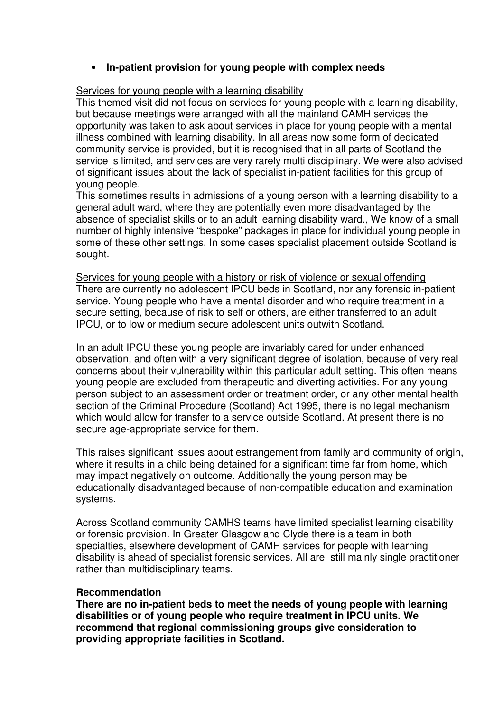## • **In-patient provision for young people with complex needs**

### Services for young people with a learning disability

This themed visit did not focus on services for young people with a learning disability, but because meetings were arranged with all the mainland CAMH services the opportunity was taken to ask about services in place for young people with a mental illness combined with learning disability. In all areas now some form of dedicated community service is provided, but it is recognised that in all parts of Scotland the service is limited, and services are very rarely multi disciplinary. We were also advised of significant issues about the lack of specialist in-patient facilities for this group of young people.

This sometimes results in admissions of a young person with a learning disability to a general adult ward, where they are potentially even more disadvantaged by the absence of specialist skills or to an adult learning disability ward., We know of a small number of highly intensive "bespoke" packages in place for individual young people in some of these other settings. In some cases specialist placement outside Scotland is sought.

Services for young people with a history or risk of violence or sexual offending There are currently no adolescent IPCU beds in Scotland, nor any forensic in-patient service. Young people who have a mental disorder and who require treatment in a secure setting, because of risk to self or others, are either transferred to an adult IPCU, or to low or medium secure adolescent units outwith Scotland.

In an adult IPCU these young people are invariably cared for under enhanced observation, and often with a very significant degree of isolation, because of very real concerns about their vulnerability within this particular adult setting. This often means young people are excluded from therapeutic and diverting activities. For any young person subject to an assessment order or treatment order, or any other mental health section of the Criminal Procedure (Scotland) Act 1995, there is no legal mechanism which would allow for transfer to a service outside Scotland. At present there is no secure age-appropriate service for them.

This raises significant issues about estrangement from family and community of origin, where it results in a child being detained for a significant time far from home, which may impact negatively on outcome. Additionally the young person may be educationally disadvantaged because of non-compatible education and examination systems.

Across Scotland community CAMHS teams have limited specialist learning disability or forensic provision. In Greater Glasgow and Clyde there is a team in both specialties, elsewhere development of CAMH services for people with learning disability is ahead of specialist forensic services. All are still mainly single practitioner rather than multidisciplinary teams.

#### **Recommendation**

**There are no in-patient beds to meet the needs of young people with learning disabilities or of young people who require treatment in IPCU units. We recommend that regional commissioning groups give consideration to providing appropriate facilities in Scotland.**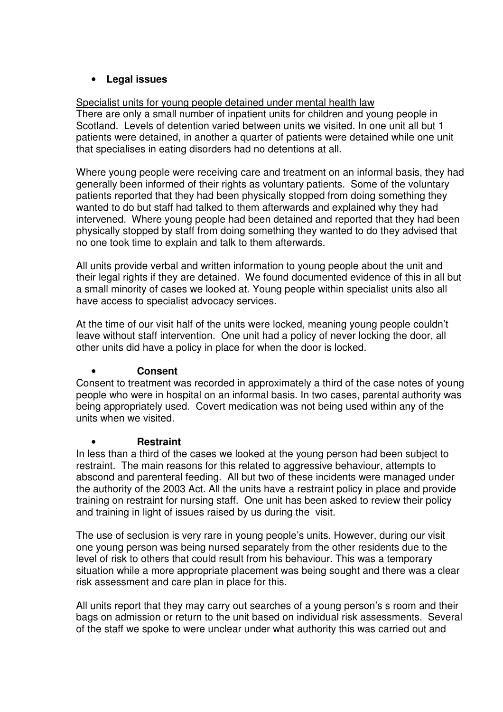# • **Legal issues**

# Specialist units for young people detained under mental health law

There are only a small number of inpatient units for children and young people in Scotland. Levels of detention varied between units we visited. In one unit all but 1 patients were detained, in another a quarter of patients were detained while one unit that specialises in eating disorders had no detentions at all.

Where young people were receiving care and treatment on an informal basis, they had generally been informed of their rights as voluntary patients. Some of the voluntary patients reported that they had been physically stopped from doing something they wanted to do but staff had talked to them afterwards and explained why they had intervened. Where young people had been detained and reported that they had been physically stopped by staff from doing something they wanted to do they advised that no one took time to explain and talk to them afterwards.

All units provide verbal and written information to young people about the unit and their legal rights if they are detained. We found documented evidence of this in all but a small minority of cases we looked at. Young people within specialist units also all have access to specialist advocacy services.

At the time of our visit half of the units were locked, meaning young people couldn't leave without staff intervention. One unit had a policy of never locking the door, all other units did have a policy in place for when the door is locked.

# • **Consent**

Consent to treatment was recorded in approximately a third of the case notes of young people who were in hospital on an informal basis. In two cases, parental authority was being appropriately used. Covert medication was not being used within any of the units when we visited.

# • **Restraint**

In less than a third of the cases we looked at the young person had been subject to restraint. The main reasons for this related to aggressive behaviour, attempts to abscond and parenteral feeding. All but two of these incidents were managed under the authority of the 2003 Act. All the units have a restraint policy in place and provide training on restraint for nursing staff. One unit has been asked to review their policy and training in light of issues raised by us during the visit.

The use of seclusion is very rare in young people's units. However, during our visit one young person was being nursed separately from the other residents due to the level of risk to others that could result from his behaviour. This was a temporary situation while a more appropriate placement was being sought and there was a clear risk assessment and care plan in place for this.

All units report that they may carry out searches of a young person's s room and their bags on admission or return to the unit based on individual risk assessments. Several of the staff we spoke to were unclear under what authority this was carried out and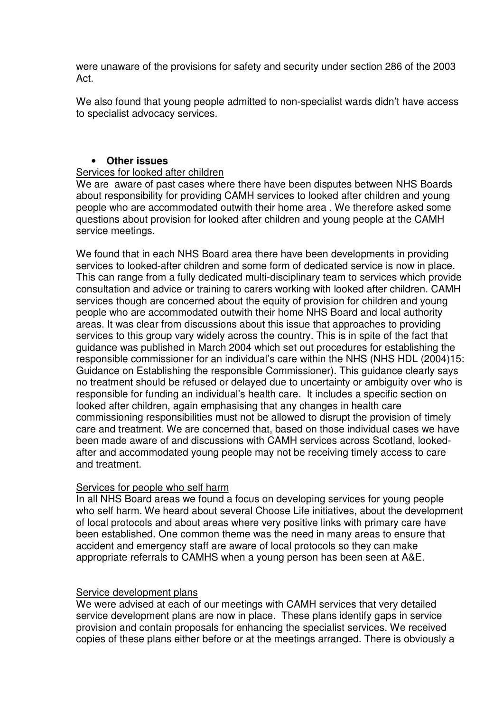were unaware of the provisions for safety and security under section 286 of the 2003 Act.

We also found that young people admitted to non-specialist wards didn't have access to specialist advocacy services.

## • **Other issues**

### Services for looked after children

We are aware of past cases where there have been disputes between NHS Boards about responsibility for providing CAMH services to looked after children and young people who are accommodated outwith their home area . We therefore asked some questions about provision for looked after children and young people at the CAMH service meetings.

We found that in each NHS Board area there have been developments in providing services to looked-after children and some form of dedicated service is now in place. This can range from a fully dedicated multi-disciplinary team to services which provide consultation and advice or training to carers working with looked after children. CAMH services though are concerned about the equity of provision for children and young people who are accommodated outwith their home NHS Board and local authority areas. It was clear from discussions about this issue that approaches to providing services to this group vary widely across the country. This is in spite of the fact that guidance was published in March 2004 which set out procedures for establishing the responsible commissioner for an individual's care within the NHS (NHS HDL (2004)15: Guidance on Establishing the responsible Commissioner). This guidance clearly says no treatment should be refused or delayed due to uncertainty or ambiguity over who is responsible for funding an individual's health care. It includes a specific section on looked after children, again emphasising that any changes in health care commissioning responsibilities must not be allowed to disrupt the provision of timely care and treatment. We are concerned that, based on those individual cases we have been made aware of and discussions with CAMH services across Scotland, lookedafter and accommodated young people may not be receiving timely access to care and treatment.

# Services for people who self harm

In all NHS Board areas we found a focus on developing services for young people who self harm. We heard about several Choose Life initiatives, about the development of local protocols and about areas where very positive links with primary care have been established. One common theme was the need in many areas to ensure that accident and emergency staff are aware of local protocols so they can make appropriate referrals to CAMHS when a young person has been seen at A&E.

### Service development plans

We were advised at each of our meetings with CAMH services that very detailed service development plans are now in place. These plans identify gaps in service provision and contain proposals for enhancing the specialist services. We received copies of these plans either before or at the meetings arranged. There is obviously a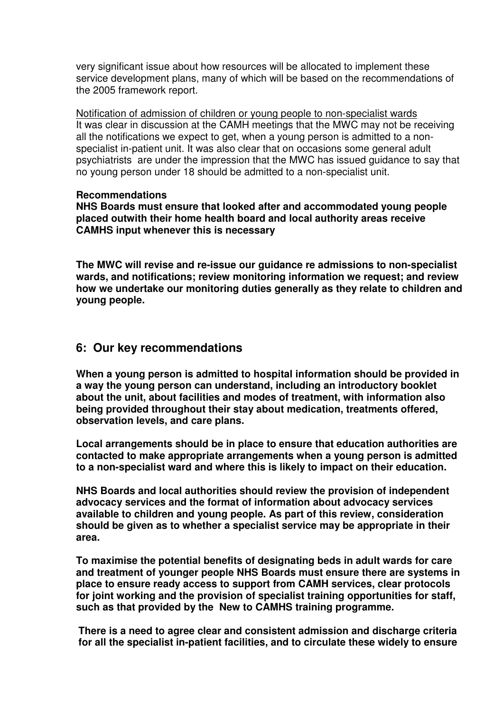very significant issue about how resources will be allocated to implement these service development plans, many of which will be based on the recommendations of the 2005 framework report.

Notification of admission of children or young people to non-specialist wards It was clear in discussion at the CAMH meetings that the MWC may not be receiving all the notifications we expect to get, when a young person is admitted to a nonspecialist in-patient unit. It was also clear that on occasions some general adult psychiatrists are under the impression that the MWC has issued guidance to say that no young person under 18 should be admitted to a non-specialist unit.

#### **Recommendations**

**NHS Boards must ensure that looked after and accommodated young people placed outwith their home health board and local authority areas receive CAMHS input whenever this is necessary** 

**The MWC will revise and re-issue our guidance re admissions to non-specialist wards, and notifications; review monitoring information we request; and review how we undertake our monitoring duties generally as they relate to children and young people.** 

# **6: Our key recommendations**

**When a young person is admitted to hospital information should be provided in a way the young person can understand, including an introductory booklet about the unit, about facilities and modes of treatment, with information also being provided throughout their stay about medication, treatments offered, observation levels, and care plans.** 

**Local arrangements should be in place to ensure that education authorities are contacted to make appropriate arrangements when a young person is admitted to a non-specialist ward and where this is likely to impact on their education.** 

**NHS Boards and local authorities should review the provision of independent advocacy services and the format of information about advocacy services available to children and young people. As part of this review, consideration should be given as to whether a specialist service may be appropriate in their area.** 

**To maximise the potential benefits of designating beds in adult wards for care and treatment of younger people NHS Boards must ensure there are systems in place to ensure ready access to support from CAMH services, clear protocols for joint working and the provision of specialist training opportunities for staff, such as that provided by the New to CAMHS training programme.** 

**There is a need to agree clear and consistent admission and discharge criteria for all the specialist in-patient facilities, and to circulate these widely to ensure**